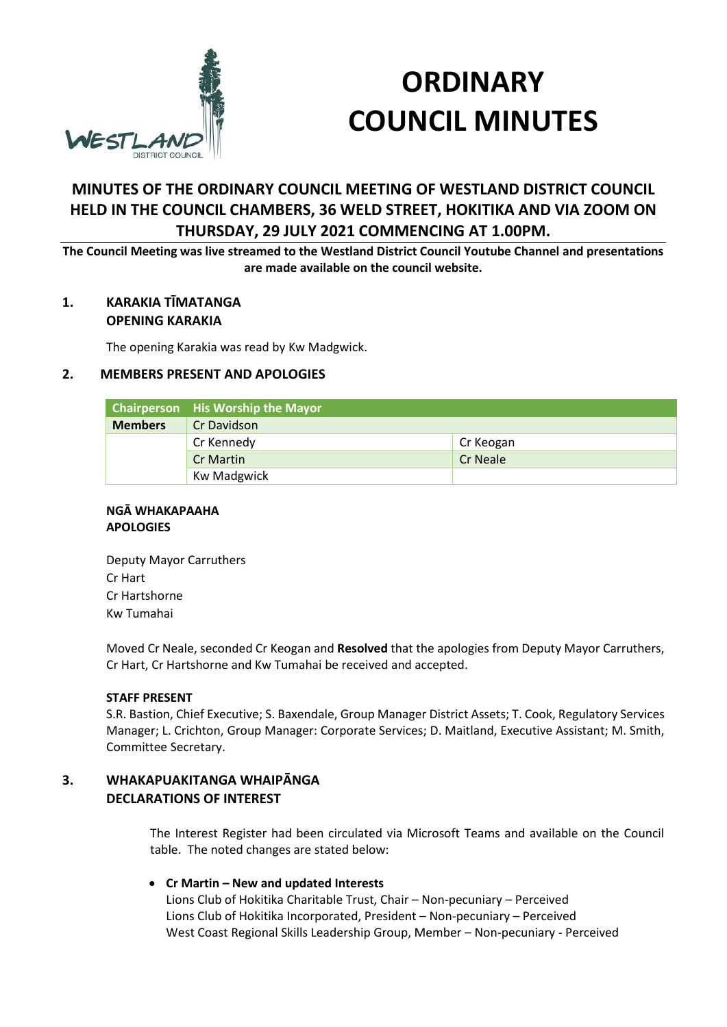

# **ORDINARY COUNCIL MINUTES**

# **MINUTES OF THE ORDINARY COUNCIL MEETING OF WESTLAND DISTRICT COUNCIL HELD IN THE COUNCIL CHAMBERS, 36 WELD STREET, HOKITIKA AND VIA ZOOM ON THURSDAY, 29 JULY 2021 COMMENCING AT 1.00PM.**

**The Council Meeting was live streamed to the Westland District Council Youtube Channel and presentations are made available on the council website.**

## **1. KARAKIA TĪMATANGA OPENING KARAKIA**

The opening Karakia was read by Kw Madgwick.

## **2. MEMBERS PRESENT AND APOLOGIES**

|                | <b>Chairperson</b> His Worship the Mayor |                 |
|----------------|------------------------------------------|-----------------|
| <b>Members</b> | Cr Davidson                              |                 |
|                | Cr Kennedy                               | Cr Keogan       |
|                | Cr Martin                                | <b>Cr Neale</b> |
|                | <b>Kw Madgwick</b>                       |                 |

#### **NGĀ WHAKAPAAHA APOLOGIES**

Deputy Mayor Carruthers Cr Hart Cr Hartshorne Kw Tumahai

Moved Cr Neale, seconded Cr Keogan and **Resolved** that the apologies from Deputy Mayor Carruthers, Cr Hart, Cr Hartshorne and Kw Tumahai be received and accepted.

## **STAFF PRESENT**

S.R. Bastion, Chief Executive; S. Baxendale, Group Manager District Assets; T. Cook, Regulatory Services Manager; L. Crichton, Group Manager: Corporate Services; D. Maitland, Executive Assistant; M. Smith, Committee Secretary.

## **3. WHAKAPUAKITANGA WHAIPĀNGA DECLARATIONS OF INTEREST**

The Interest Register had been circulated via Microsoft Teams and available on the Council table. The noted changes are stated below:

## **Cr Martin – New and updated Interests**

Lions Club of Hokitika Charitable Trust, Chair – Non-pecuniary – Perceived Lions Club of Hokitika Incorporated, President – Non-pecuniary – Perceived West Coast Regional Skills Leadership Group, Member – Non-pecuniary - Perceived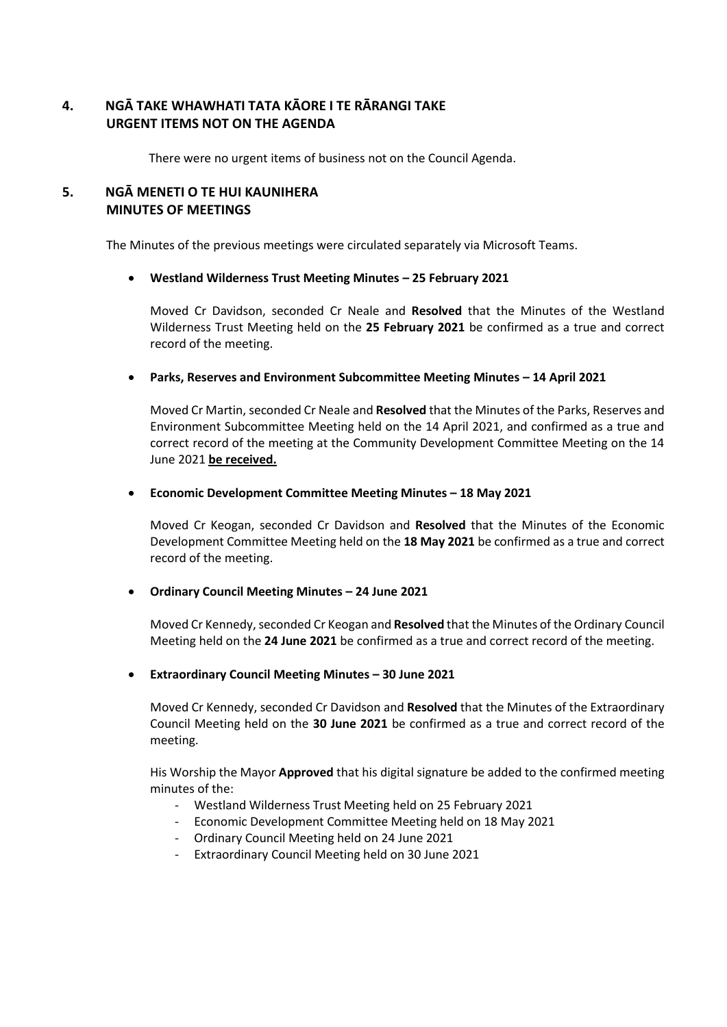# **4. NGĀ TAKE WHAWHATI TATA KĀORE I TE RĀRANGI TAKE URGENT ITEMS NOT ON THE AGENDA**

There were no urgent items of business not on the Council Agenda.

# **5. NGĀ MENETI O TE HUI KAUNIHERA MINUTES OF MEETINGS**

The Minutes of the previous meetings were circulated separately via Microsoft Teams.

## **Westland Wilderness Trust Meeting Minutes – 25 February 2021**

Moved Cr Davidson, seconded Cr Neale and **Resolved** that the Minutes of the Westland Wilderness Trust Meeting held on the **25 February 2021** be confirmed as a true and correct record of the meeting.

**Parks, Reserves and Environment Subcommittee Meeting Minutes – 14 April 2021**

Moved Cr Martin, seconded Cr Neale and **Resolved** that the Minutes of the Parks, Reserves and Environment Subcommittee Meeting held on the 14 April 2021, and confirmed as a true and correct record of the meeting at the Community Development Committee Meeting on the 14 June 2021 **be received.**

#### **Economic Development Committee Meeting Minutes – 18 May 2021**

Moved Cr Keogan, seconded Cr Davidson and **Resolved** that the Minutes of the Economic Development Committee Meeting held on the **18 May 2021** be confirmed as a true and correct record of the meeting.

## **Ordinary Council Meeting Minutes – 24 June 2021**

Moved Cr Kennedy,seconded Cr Keogan and **Resolved** that the Minutes of the Ordinary Council Meeting held on the **24 June 2021** be confirmed as a true and correct record of the meeting.

## **Extraordinary Council Meeting Minutes – 30 June 2021**

Moved Cr Kennedy, seconded Cr Davidson and **Resolved** that the Minutes of the Extraordinary Council Meeting held on the **30 June 2021** be confirmed as a true and correct record of the meeting.

His Worship the Mayor **Approved** that his digital signature be added to the confirmed meeting minutes of the:

- Westland Wilderness Trust Meeting held on 25 February 2021
- Economic Development Committee Meeting held on 18 May 2021
- Ordinary Council Meeting held on 24 June 2021
- Extraordinary Council Meeting held on 30 June 2021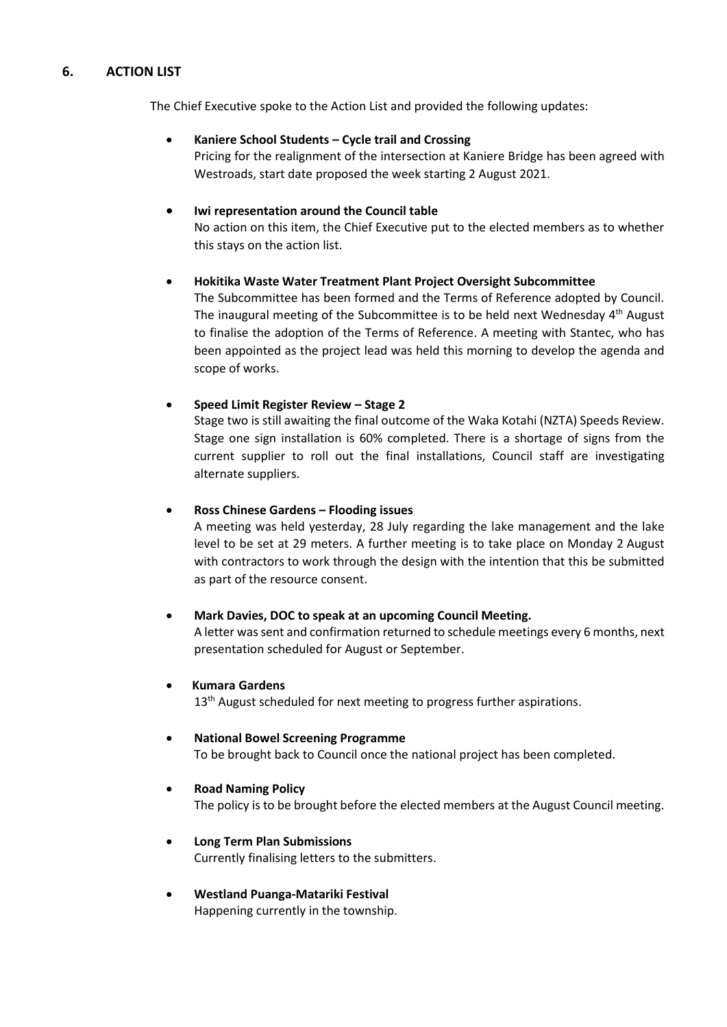## **6. ACTION LIST**

The Chief Executive spoke to the Action List and provided the following updates:

## **Kaniere School Students – Cycle trail and Crossing**

Pricing for the realignment of the intersection at Kaniere Bridge has been agreed with Westroads, start date proposed the week starting 2 August 2021.

#### **Iwi representation around the Council table**

No action on this item, the Chief Executive put to the elected members as to whether this stays on the action list.

## **Hokitika Waste Water Treatment Plant Project Oversight Subcommittee**

The Subcommittee has been formed and the Terms of Reference adopted by Council. The inaugural meeting of the Subcommittee is to be held next Wednesday 4<sup>th</sup> August to finalise the adoption of the Terms of Reference. A meeting with Stantec, who has been appointed as the project lead was held this morning to develop the agenda and scope of works.

## **Speed Limit Register Review – Stage 2**

Stage two is still awaiting the final outcome of the Waka Kotahi (NZTA) Speeds Review. Stage one sign installation is 60% completed. There is a shortage of signs from the current supplier to roll out the final installations, Council staff are investigating alternate suppliers.

#### **Ross Chinese Gardens – Flooding issues**

A meeting was held yesterday, 28 July regarding the lake management and the lake level to be set at 29 meters. A further meeting is to take place on Monday 2 August with contractors to work through the design with the intention that this be submitted as part of the resource consent.

## **Mark Davies, DOC to speak at an upcoming Council Meeting.**

A letter was sent and confirmation returned to schedule meetings every 6 months, next presentation scheduled for August or September.

# **Kumara Gardens**

13<sup>th</sup> August scheduled for next meeting to progress further aspirations.

#### **National Bowel Screening Programme**

To be brought back to Council once the national project has been completed.

#### **Road Naming Policy**

The policy is to be brought before the elected members at the August Council meeting.

## **Long Term Plan Submissions**

Currently finalising letters to the submitters.

#### **Westland Puanga-Matariki Festival**  Happening currently in the township.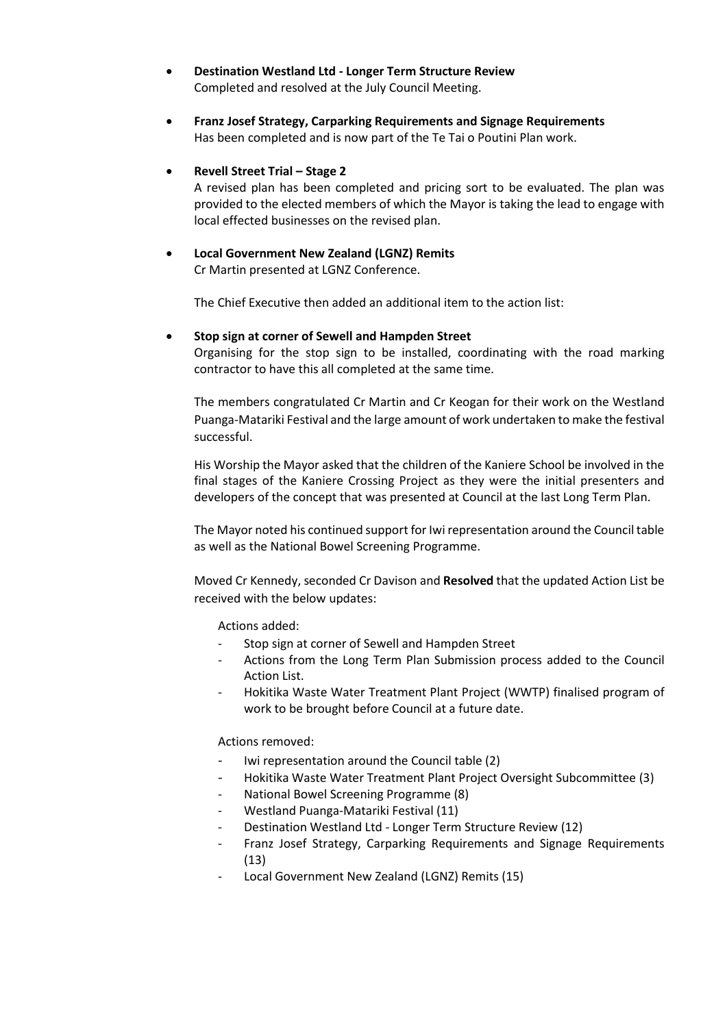- **Destination Westland Ltd - Longer Term Structure Review** Completed and resolved at the July Council Meeting.
- **Franz Josef Strategy, Carparking Requirements and Signage Requirements** Has been completed and is now part of the Te Tai o Poutini Plan work.

## **Revell Street Trial – Stage 2**

A revised plan has been completed and pricing sort to be evaluated. The plan was provided to the elected members of which the Mayor is taking the lead to engage with local effected businesses on the revised plan.

 **Local Government New Zealand (LGNZ) Remits** Cr Martin presented at LGNZ Conference.

The Chief Executive then added an additional item to the action list:

#### **•** Stop sign at corner of Sewell and Hampden Street

Organising for the stop sign to be installed, coordinating with the road marking contractor to have this all completed at the same time.

The members congratulated Cr Martin and Cr Keogan for their work on the Westland Puanga-Matariki Festival and the large amount of work undertaken to make the festival successful.

His Worship the Mayor asked that the children of the Kaniere School be involved in the final stages of the Kaniere Crossing Project as they were the initial presenters and developers of the concept that was presented at Council at the last Long Term Plan.

The Mayor noted his continued support for Iwi representation around the Council table as well as the National Bowel Screening Programme.

Moved Cr Kennedy, seconded Cr Davison and **Resolved** that the updated Action List be received with the below updates:

Actions added:

- Stop sign at corner of Sewell and Hampden Street
- Actions from the Long Term Plan Submission process added to the Council Action List.
- Hokitika Waste Water Treatment Plant Project (WWTP) finalised program of work to be brought before Council at a future date.

## Actions removed:

- Iwi representation around the Council table (2)
- Hokitika Waste Water Treatment Plant Project Oversight Subcommittee (3)
- National Bowel Screening Programme (8)
- Westland Puanga-Matariki Festival (11)
- Destination Westland Ltd Longer Term Structure Review (12)
- Franz Josef Strategy, Carparking Requirements and Signage Requirements (13)
- Local Government New Zealand (LGNZ) Remits (15)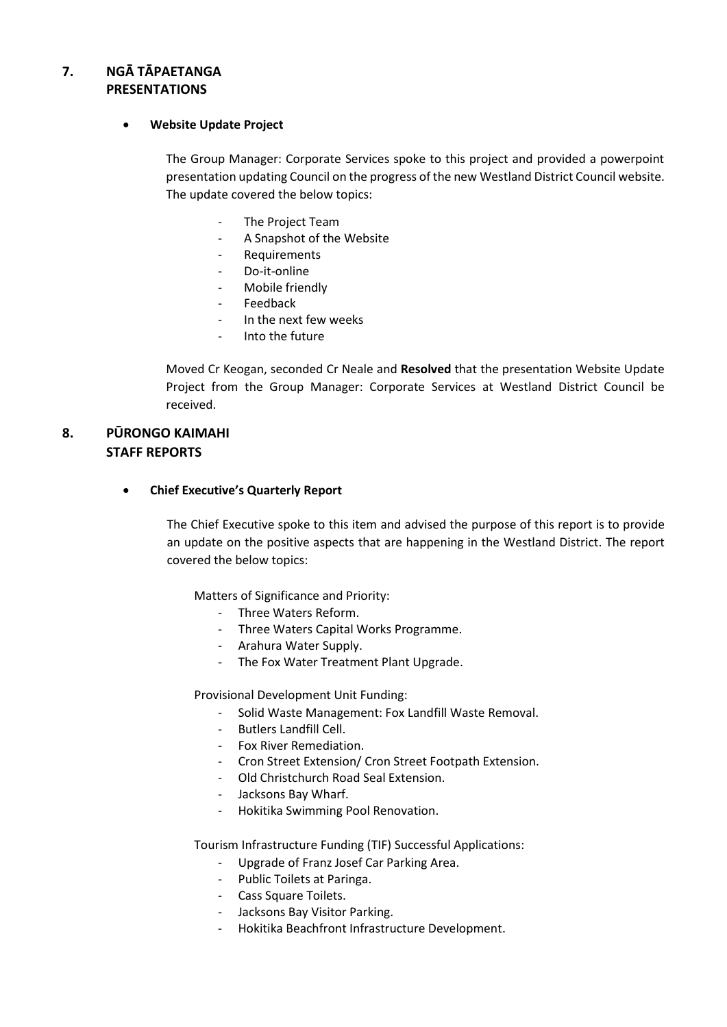# **7. NGĀ TĀPAETANGA PRESENTATIONS**

## **Website Update Project**

The Group Manager: Corporate Services spoke to this project and provided a powerpoint presentation updating Council on the progress of the new Westland District Council website. The update covered the below topics:

- The Project Team
- A Snapshot of the Website
- **Requirements**
- Do-it-online
- Mobile friendly
- **Feedback**
- In the next few weeks
- Into the future

Moved Cr Keogan, seconded Cr Neale and **Resolved** that the presentation Website Update Project from the Group Manager: Corporate Services at Westland District Council be received.

# **8. PŪRONGO KAIMAHI STAFF REPORTS**

## **Chief Executive's Quarterly Report**

The Chief Executive spoke to this item and advised the purpose of this report is to provide an update on the positive aspects that are happening in the Westland District. The report covered the below topics:

Matters of Significance and Priority:

- Three Waters Reform.
- Three Waters Capital Works Programme.
- Arahura Water Supply.
- The Fox Water Treatment Plant Upgrade.

Provisional Development Unit Funding:

- Solid Waste Management: Fox Landfill Waste Removal.
- Butlers Landfill Cell.
- Fox River Remediation.
- Cron Street Extension/ Cron Street Footpath Extension.
- Old Christchurch Road Seal Extension.
- Jacksons Bay Wharf.
- Hokitika Swimming Pool Renovation.

Tourism Infrastructure Funding (TIF) Successful Applications:

- Upgrade of Franz Josef Car Parking Area.
- Public Toilets at Paringa.
- Cass Square Toilets.
- Jacksons Bay Visitor Parking.
- Hokitika Beachfront Infrastructure Development.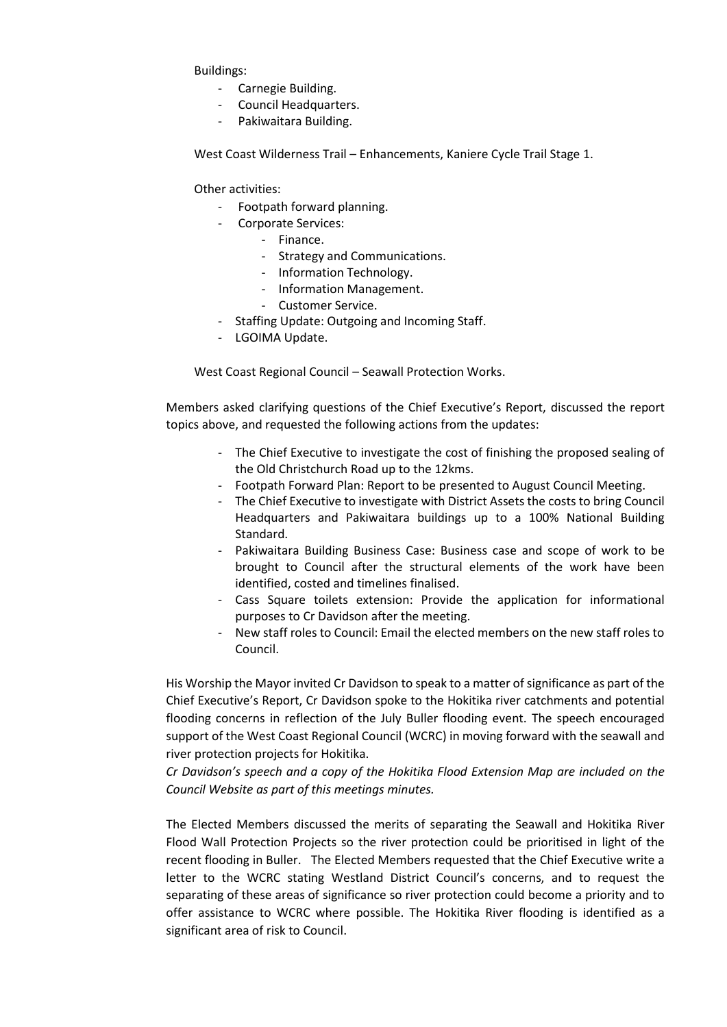Buildings:

- Carnegie Building.
- Council Headquarters.
- Pakiwaitara Building.

West Coast Wilderness Trail – Enhancements, Kaniere Cycle Trail Stage 1.

#### Other activities:

- Footpath forward planning.
- Corporate Services:
	- Finance.
	- Strategy and Communications.
	- Information Technology.
	- Information Management.
	- Customer Service.
- Staffing Update: Outgoing and Incoming Staff.
- LGOIMA Update.

West Coast Regional Council – Seawall Protection Works.

Members asked clarifying questions of the Chief Executive's Report, discussed the report topics above, and requested the following actions from the updates:

- The Chief Executive to investigate the cost of finishing the proposed sealing of the Old Christchurch Road up to the 12kms.
- Footpath Forward Plan: Report to be presented to August Council Meeting.
- The Chief Executive to investigate with District Assets the costs to bring Council Headquarters and Pakiwaitara buildings up to a 100% National Building Standard.
- Pakiwaitara Building Business Case: Business case and scope of work to be brought to Council after the structural elements of the work have been identified, costed and timelines finalised.
- Cass Square toilets extension: Provide the application for informational purposes to Cr Davidson after the meeting.
- New staff roles to Council: Email the elected members on the new staff roles to Council.

His Worship the Mayor invited Cr Davidson to speak to a matter of significance as part of the Chief Executive's Report, Cr Davidson spoke to the Hokitika river catchments and potential flooding concerns in reflection of the July Buller flooding event. The speech encouraged support of the West Coast Regional Council (WCRC) in moving forward with the seawall and river protection projects for Hokitika.

*Cr Davidson's speech and a copy of the Hokitika Flood Extension Map are included on the Council Website as part of this meetings minutes.*

The Elected Members discussed the merits of separating the Seawall and Hokitika River Flood Wall Protection Projects so the river protection could be prioritised in light of the recent flooding in Buller. The Elected Members requested that the Chief Executive write a letter to the WCRC stating Westland District Council's concerns, and to request the separating of these areas of significance so river protection could become a priority and to offer assistance to WCRC where possible. The Hokitika River flooding is identified as a significant area of risk to Council.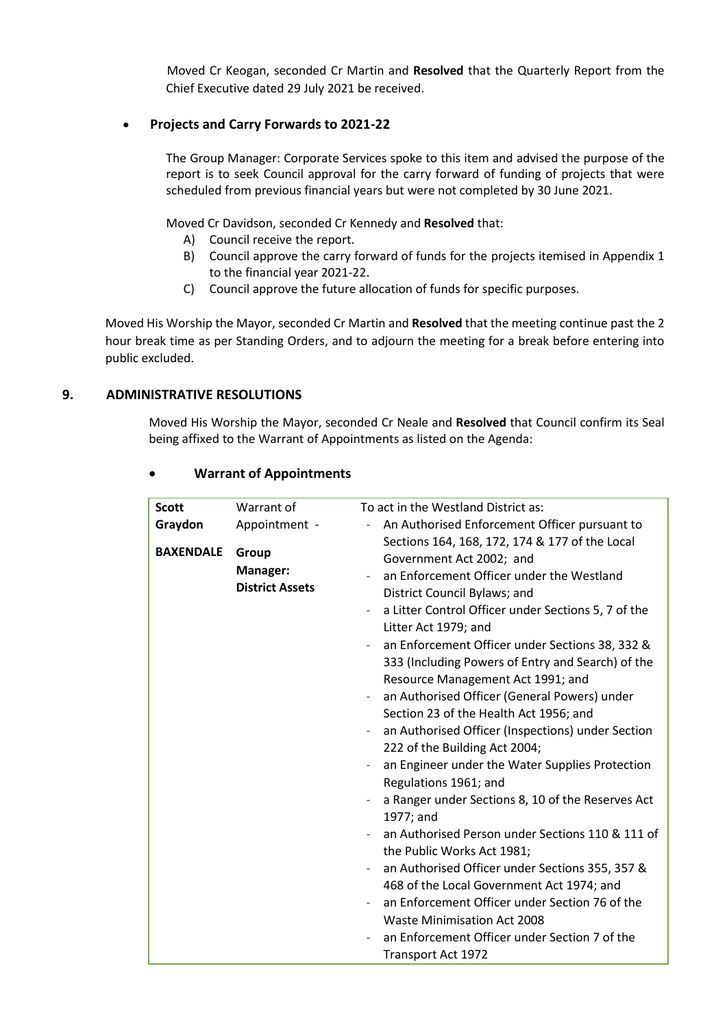Moved Cr Keogan, seconded Cr Martin and **Resolved** that the Quarterly Report from the Chief Executive dated 29 July 2021 be received.

## **Projects and Carry Forwards to 2021-22**

The Group Manager: Corporate Services spoke to this item and advised the purpose of the report is to seek Council approval for the carry forward of funding of projects that were scheduled from previous financial years but were not completed by 30 June 2021.

Moved Cr Davidson, seconded Cr Kennedy and **Resolved** that:

- A) Council receive the report.
- B) Council approve the carry forward of funds for the projects itemised in Appendix 1 to the financial year 2021-22.
- C) Council approve the future allocation of funds for specific purposes.

Moved His Worship the Mayor, seconded Cr Martin and **Resolved** that the meeting continue past the 2 hour break time as per Standing Orders, and to adjourn the meeting for a break before entering into public excluded.

## **9. ADMINISTRATIVE RESOLUTIONS**

Moved His Worship the Mayor, seconded Cr Neale and **Resolved** that Council confirm its Seal being affixed to the Warrant of Appointments as listed on the Agenda:

| <b>Scott</b>                | Warrant of                                                   | To act in the Westland District as:                                                                                                                                                                                                                                                                                                                                                                                                                                                                                                                                                                                                                                                                                                                                                                                                                                                                                                                                                                                                                                                                                                      |
|-----------------------------|--------------------------------------------------------------|------------------------------------------------------------------------------------------------------------------------------------------------------------------------------------------------------------------------------------------------------------------------------------------------------------------------------------------------------------------------------------------------------------------------------------------------------------------------------------------------------------------------------------------------------------------------------------------------------------------------------------------------------------------------------------------------------------------------------------------------------------------------------------------------------------------------------------------------------------------------------------------------------------------------------------------------------------------------------------------------------------------------------------------------------------------------------------------------------------------------------------------|
| Graydon<br><b>BAXENDALE</b> | Appointment -<br>Group<br>Manager:<br><b>District Assets</b> | An Authorised Enforcement Officer pursuant to<br>Sections 164, 168, 172, 174 & 177 of the Local<br>Government Act 2002; and<br>an Enforcement Officer under the Westland<br>District Council Bylaws; and<br>a Litter Control Officer under Sections 5, 7 of the<br>Litter Act 1979; and<br>an Enforcement Officer under Sections 38, 332 &<br>333 (Including Powers of Entry and Search) of the<br>Resource Management Act 1991; and<br>an Authorised Officer (General Powers) under<br>$\overline{\phantom{a}}$<br>Section 23 of the Health Act 1956; and<br>an Authorised Officer (Inspections) under Section<br>222 of the Building Act 2004;<br>an Engineer under the Water Supplies Protection<br>Regulations 1961; and<br>a Ranger under Sections 8, 10 of the Reserves Act<br>1977; and<br>an Authorised Person under Sections 110 & 111 of<br>the Public Works Act 1981;<br>an Authorised Officer under Sections 355, 357 &<br>468 of the Local Government Act 1974; and<br>an Enforcement Officer under Section 76 of the<br>Waste Minimisation Act 2008<br>an Enforcement Officer under Section 7 of the<br>Transport Act 1972 |

## **Warrant of Appointments**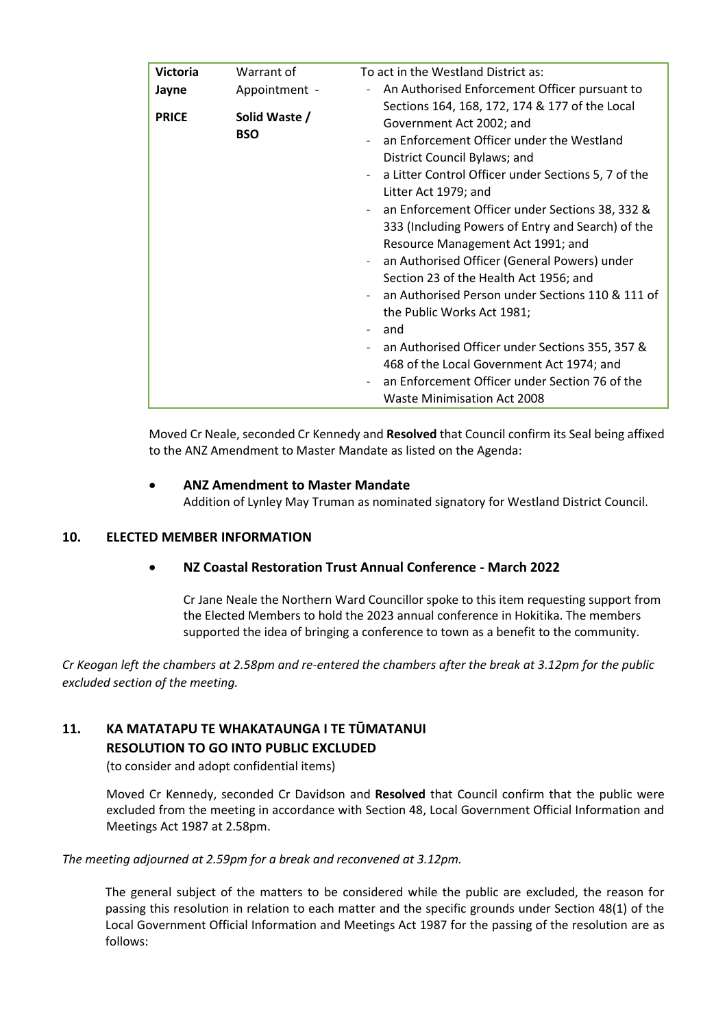| <b>Victoria</b> | Warrant of                  | To act in the Westland District as:                                                                                                                                                                                                                                                                                                                                                                                                                                                                                                                                                                                                                                    |
|-----------------|-----------------------------|------------------------------------------------------------------------------------------------------------------------------------------------------------------------------------------------------------------------------------------------------------------------------------------------------------------------------------------------------------------------------------------------------------------------------------------------------------------------------------------------------------------------------------------------------------------------------------------------------------------------------------------------------------------------|
| Jayne           | Appointment -               | An Authorised Enforcement Officer pursuant to                                                                                                                                                                                                                                                                                                                                                                                                                                                                                                                                                                                                                          |
| <b>PRICE</b>    | Solid Waste /<br><b>BSO</b> | Sections 164, 168, 172, 174 & 177 of the Local<br>Government Act 2002; and<br>an Enforcement Officer under the Westland<br>District Council Bylaws; and<br>a Litter Control Officer under Sections 5, 7 of the<br>Litter Act 1979; and<br>an Enforcement Officer under Sections 38, 332 &<br>333 (Including Powers of Entry and Search) of the<br>Resource Management Act 1991; and<br>an Authorised Officer (General Powers) under<br>Section 23 of the Health Act 1956; and<br>an Authorised Person under Sections 110 & 111 of<br>the Public Works Act 1981;<br>and<br>an Authorised Officer under Sections 355, 357 &<br>468 of the Local Government Act 1974; and |
|                 |                             | an Enforcement Officer under Section 76 of the                                                                                                                                                                                                                                                                                                                                                                                                                                                                                                                                                                                                                         |
|                 |                             | <b>Waste Minimisation Act 2008</b>                                                                                                                                                                                                                                                                                                                                                                                                                                                                                                                                                                                                                                     |

Moved Cr Neale, seconded Cr Kennedy and **Resolved** that Council confirm its Seal being affixed to the ANZ Amendment to Master Mandate as listed on the Agenda:

## **ANZ Amendment to Master Mandate**

Addition of Lynley May Truman as nominated signatory for Westland District Council.

## **10. ELECTED MEMBER INFORMATION**

# **NZ Coastal Restoration Trust Annual Conference - March 2022**

Cr Jane Neale the Northern Ward Councillor spoke to this item requesting support from the Elected Members to hold the 2023 annual conference in Hokitika. The members supported the idea of bringing a conference to town as a benefit to the community.

*Cr Keogan left the chambers at 2.58pm and re-entered the chambers after the break at 3.12pm for the public excluded section of the meeting.*

## **11. KA MATATAPU TE WHAKATAUNGA I TE TŪMATANUI RESOLUTION TO GO INTO PUBLIC EXCLUDED**

(to consider and adopt confidential items)

 Moved Cr Kennedy, seconded Cr Davidson and **Resolved** that Council confirm that the public were excluded from the meeting in accordance with Section 48, Local Government Official Information and Meetings Act 1987 at 2.58pm.

## *The meeting adjourned at 2.59pm for a break and reconvened at 3.12pm.*

The general subject of the matters to be considered while the public are excluded, the reason for passing this resolution in relation to each matter and the specific grounds under Section 48(1) of the Local Government Official Information and Meetings Act 1987 for the passing of the resolution are as follows: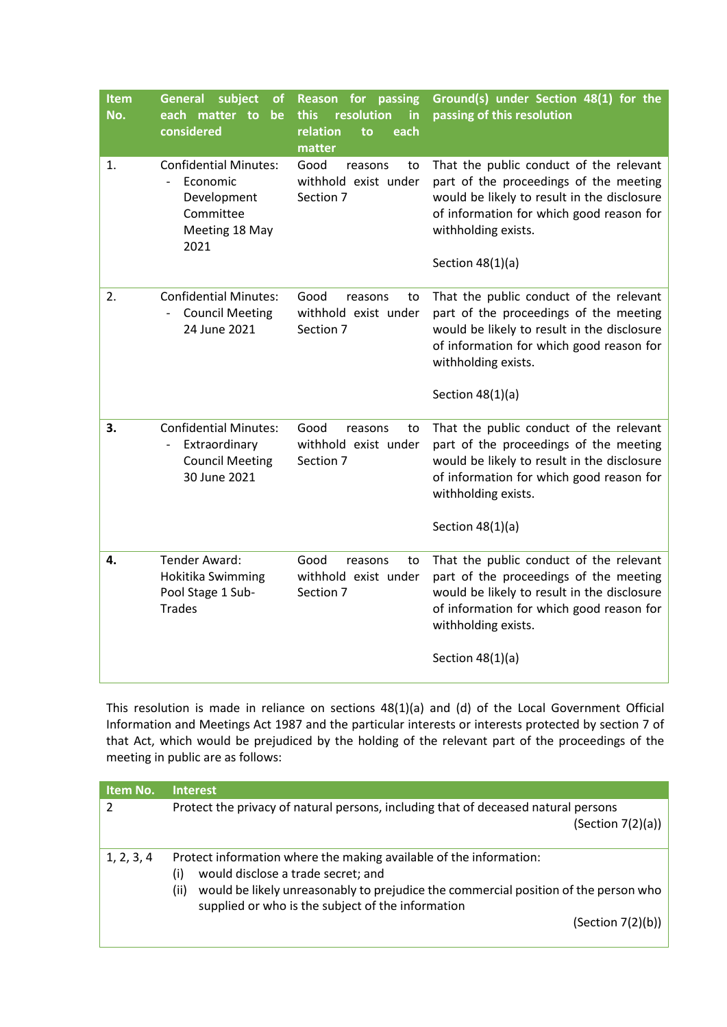| <b>Item</b><br>No. | subject<br>General<br>of<br>each matter to<br>be<br>considered                                 | for<br><b>Reason</b><br>passing<br><b>this</b><br>resolution<br>in<br>relation<br>each<br>to<br>matter | Ground(s) under Section 48(1) for the<br>passing of this resolution                                                                                                                                                       |
|--------------------|------------------------------------------------------------------------------------------------|--------------------------------------------------------------------------------------------------------|---------------------------------------------------------------------------------------------------------------------------------------------------------------------------------------------------------------------------|
| 1.                 | <b>Confidential Minutes:</b><br>Economic<br>Development<br>Committee<br>Meeting 18 May<br>2021 | Good<br>reasons<br>to<br>withhold exist under<br>Section 7                                             | That the public conduct of the relevant<br>part of the proceedings of the meeting<br>would be likely to result in the disclosure<br>of information for which good reason for<br>withholding exists.<br>Section $48(1)(a)$ |
| 2.                 | <b>Confidential Minutes:</b><br><b>Council Meeting</b><br>24 June 2021                         | Good<br>reasons<br>to<br>withhold exist under<br>Section 7                                             | That the public conduct of the relevant<br>part of the proceedings of the meeting<br>would be likely to result in the disclosure<br>of information for which good reason for<br>withholding exists.<br>Section $48(1)(a)$ |
| З.                 | <b>Confidential Minutes:</b><br>Extraordinary<br><b>Council Meeting</b><br>30 June 2021        | Good<br>reasons<br>to<br>withhold exist under<br>Section 7                                             | That the public conduct of the relevant<br>part of the proceedings of the meeting<br>would be likely to result in the disclosure<br>of information for which good reason for<br>withholding exists.<br>Section $48(1)(a)$ |
| 4.                 | Tender Award:<br>Hokitika Swimming<br>Pool Stage 1 Sub-<br><b>Trades</b>                       | Good<br>reasons<br>to<br>withhold exist under<br>Section 7                                             | That the public conduct of the relevant<br>part of the proceedings of the meeting<br>would be likely to result in the disclosure<br>of information for which good reason for<br>withholding exists.<br>Section $48(1)(a)$ |

This resolution is made in reliance on sections 48(1)(a) and (d) of the Local Government Official Information and Meetings Act 1987 and the particular interests or interests protected by section 7 of that Act, which would be prejudiced by the holding of the relevant part of the proceedings of the meeting in public are as follows:

| Item No.      | <b>Interest</b>                                                                                                                                                                                                                                                                          |
|---------------|------------------------------------------------------------------------------------------------------------------------------------------------------------------------------------------------------------------------------------------------------------------------------------------|
| $\mathcal{P}$ | Protect the privacy of natural persons, including that of deceased natural persons<br>(Section 7(2)(a))                                                                                                                                                                                  |
| 1, 2, 3, 4    | Protect information where the making available of the information:<br>would disclose a trade secret; and<br>(i)<br>would be likely unreasonably to prejudice the commercial position of the person who<br>(ii)<br>supplied or who is the subject of the information<br>(Section 7(2)(b)) |